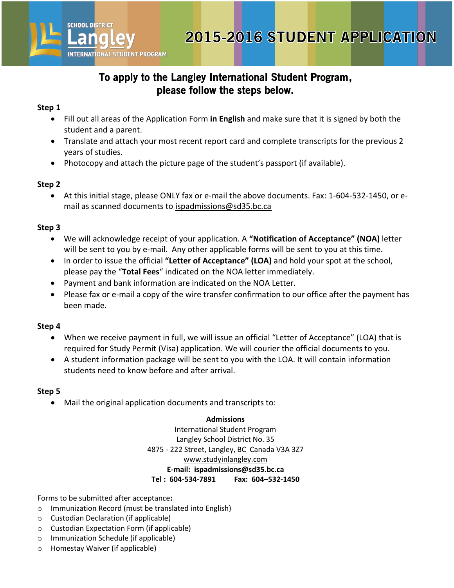

#### **Step 1**

**SCHOOL DISTRICT** 

**INTERNATIONAL STUDENT PROGRAM** 

- Fill out all areas of the [Application Form](http://www.studyinlangley.com/assets/images/client/File/Microsoft%20Word%20-%2009-10%20ISP%20App%20-%2008%2012%2018%20(2).pdf) **in English** and make sure that it is signed by both the student and a parent.
- Translate and attach your most recent report card and complete transcripts for the previous 2 years of studies.
- Photocopy and attach the picture page of the student's passport (if available).

#### **Step 2**

 At this initial stage, please ONLY fax or e-mail the above documents. Fax: 1-604-532-1450, or email as scanned documents to [ispadmissions@sd35.bc.ca](mailto:isp@sd35.bc.ca)

## **Step 3**

- We will acknowledge receipt of your application. A **"Notification of Acceptance" (NOA)** letter will be sent to you by e-mail. Any other applicable forms will be sent to you at this time.
- In order to issue the official **"Letter of Acceptance" (LOA)** and hold your spot at the school, please pay the "**Total Fees**" indicated on the NOA letter immediately.
- Payment and bank information are indicated on the NOA Letter.
- Please fax or e-mail a copy of the wire transfer confirmation to our office after the payment has been made.

## **Step 4**

- When we receive payment in full, we will issue an official "Letter of Acceptance" (LOA) that is required for Study Permit (Visa) application. We will courier the official documents to you.
- A student information package will be sent to you with the LOA. It will contain information students need to know before and after arrival.

## **Step 5**

Mail the original application documents and transcripts to:

#### **Admissions**

International Student Program Langley School District No. 35 4875 - 222 Street, Langley, BC Canada V3A 3Z7 [www.studyinlangley.com](http://www.studyinlangley.com/) **E-mail: ispadmissions@sd35.bc.ca Tel : 604-534-7891 Fax: 604–532-1450**

Forms to be submitted after acceptance**:**

- o Immunization Record (must be translated into English)
- o Custodian Declaration (if applicable)
- o Custodian Expectation Form (if applicable)
- o Immunization Schedule (if applicable)
- o Homestay Waiver (if applicable)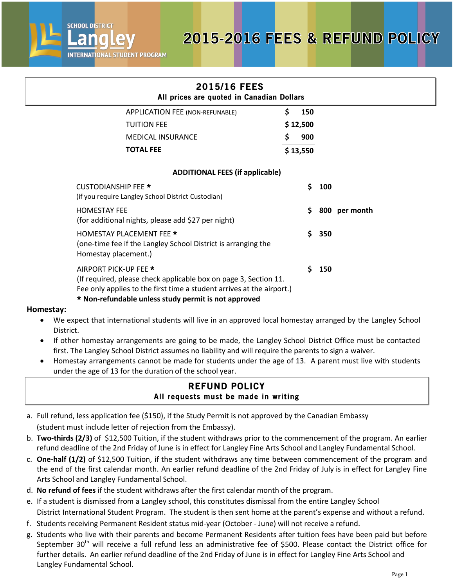



## 2015/16 FEES All prices are quoted in Canadian Dollars APPLICATION FEE (NON-REFUNABLE) TUITION FEE MEDICAL INSURANCE **TOTAL FEE \$ 150 \$ 12,500 \$ 900 \$ 13,550 ADDITIONAL FEES (if applicable)** CUSTODIANSHIP FEE \* **\$ 100** (if you require Langley School District Custodian) HOMESTAY FEE **\$ 800 per month** (for additional nights, please add \$27 per night) HOMESTAY PLACEMENT FEE \* **\$ 350** (one-time fee if the Langley School District is arranging the Homestay placement.) AIRPORT PICK-UP FEE \* **\$ 150** (If required, please check applicable box on page 3, Section 11. Fee only applies to the first time a student arrives at the airport.) \* **Non-refundable unless study permit is not approved**

## **Homestay:**

- We expect that international students will live in an approved local homestay arranged by the Langley School District.
- If other homestay arrangements are going to be made, the Langley School District Office must be contacted first. The Langley School District assumes no liability and will require the parents to sign a waiver.
- Homestay arrangements cannot be made for students under the age of 13. A parent must live with students under the age of 13 for the duration of the school year.

## REFUND POLICY All requests must be made in writing

- a. Full refund, less application fee (\$150), if the Study Permit is not approved by the Canadian Embassy (student must include letter of rejection from the Embassy).
- b. **Two-thirds (2/3)** of \$12,500 Tuition, if the student withdraws prior to the commencement of the program. An earlier refund deadline of the 2nd Friday of June is in effect for Langley Fine Arts School and Langley Fundamental School.
- c. **One-half (1/2)** of \$12,500 Tuition, if the student withdraws any time between commencement of the program and the end of the first calendar month. An earlier refund deadline of the 2nd Friday of July is in effect for Langley Fine Arts School and Langley Fundamental School.
- d. **No refund of fees** if the student withdraws after the first calendar month of the program.
- e. If a student is dismissed from a Langley school, this constitutes dismissal from the entire Langley School District International Student Program. The student is then sent home at the parent's expense and without a refund.
- f. Students receiving Permanent Resident status mid-year (October June) will not receive a refund.
- g. Students who live with their parents and become Permanent Residents after tuition fees have been paid but before September 30<sup>th</sup> will receive a full refund less an administrative fee of \$500. Please contact the District office for further details. An earlier refund deadline of the 2nd Friday of June is in effect for Langley Fine Arts School and Langley Fundamental School.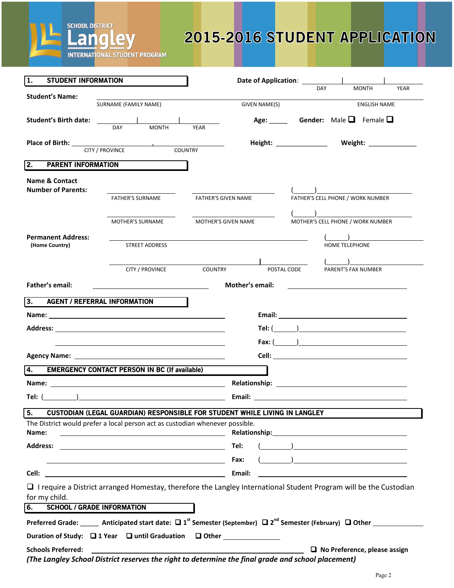

# 2015-2016 STUDENT APPLICATION

| 1.<br><b>STUDENT INFORMATION</b>                       |                                                                                                                                                    | Date of Application: ___________ |                                                                                                                                                                                                                                |             |                       |                                                   |             |
|--------------------------------------------------------|----------------------------------------------------------------------------------------------------------------------------------------------------|----------------------------------|--------------------------------------------------------------------------------------------------------------------------------------------------------------------------------------------------------------------------------|-------------|-----------------------|---------------------------------------------------|-------------|
| <b>Student's Name:</b>                                 |                                                                                                                                                    |                                  |                                                                                                                                                                                                                                |             | <b>DAY</b>            | <b>MONTH</b>                                      | <b>YEAR</b> |
|                                                        | SURNAME (FAMILY NAME)                                                                                                                              |                                  | GIVEN NAME(S)                                                                                                                                                                                                                  |             | <b>ENGLISH NAME</b>   |                                                   |             |
| <b>Student's Birth date:</b>                           | <b>MONTH</b><br>DAY                                                                                                                                | <b>YEAR</b>                      |                                                                                                                                                                                                                                |             |                       | Age: Gender: Male $\Box$ Female $\Box$            |             |
|                                                        | Place of Birth: <u>CITY / PROVINCE</u>                                                                                                             |                                  |                                                                                                                                                                                                                                |             |                       |                                                   |             |
|                                                        |                                                                                                                                                    |                                  |                                                                                                                                                                                                                                |             |                       |                                                   |             |
| 2.<br><b>PARENT INFORMATION</b>                        |                                                                                                                                                    |                                  |                                                                                                                                                                                                                                |             |                       |                                                   |             |
| <b>Name &amp; Contact</b><br><b>Number of Parents:</b> |                                                                                                                                                    |                                  |                                                                                                                                                                                                                                |             |                       |                                                   |             |
|                                                        | <b>FATHER'S SURNAME</b>                                                                                                                            | <b>FATHER'S GIVEN NAME</b>       |                                                                                                                                                                                                                                |             |                       | FATHER'S CELL PHONE / WORK NUMBER                 |             |
|                                                        | MOTHER'S SURNAME                                                                                                                                   | MOTHER'S GIVEN NAME              |                                                                                                                                                                                                                                |             |                       | MOTHER'S CELL PHONE / WORK NUMBER                 |             |
| Permanent Address:                                     |                                                                                                                                                    |                                  |                                                                                                                                                                                                                                |             | <b>HOME TELEPHONE</b> |                                                   |             |
| (Home Country)                                         | <b>STREET ADDRESS</b>                                                                                                                              |                                  |                                                                                                                                                                                                                                |             |                       |                                                   |             |
|                                                        | CITY / PROVINCE                                                                                                                                    | COUNTRY                          |                                                                                                                                                                                                                                | POSTAL CODE |                       | PARENT'S FAX NUMBER                               |             |
| <b>Father's email:</b>                                 |                                                                                                                                                    |                                  | <b>Mother's email:</b>                                                                                                                                                                                                         |             |                       |                                                   |             |
|                                                        | <u> 1980 - Johann Barn, fransk politik (</u>                                                                                                       |                                  |                                                                                                                                                                                                                                |             |                       | <u> 1980 - Andrea Brand, amerikansk politik (</u> |             |
| 3. AGENT / REFERRAL INFORMATION                        |                                                                                                                                                    |                                  |                                                                                                                                                                                                                                |             |                       |                                                   |             |
|                                                        |                                                                                                                                                    |                                  |                                                                                                                                                                                                                                |             |                       |                                                   |             |
|                                                        |                                                                                                                                                    |                                  |                                                                                                                                                                                                                                |             |                       | Tel: $($ $)$                                      |             |
|                                                        |                                                                                                                                                    |                                  |                                                                                                                                                                                                                                |             |                       |                                                   |             |
|                                                        |                                                                                                                                                    |                                  |                                                                                                                                                                                                                                |             |                       |                                                   |             |
| 4.                                                     | <b>EMERGENCY CONTACT PERSON IN BC (If available)</b>                                                                                               |                                  |                                                                                                                                                                                                                                |             |                       |                                                   |             |
|                                                        |                                                                                                                                                    |                                  |                                                                                                                                                                                                                                |             |                       |                                                   |             |
|                                                        | Tel: $(\_\_)$                                                                                                                                      |                                  |                                                                                                                                                                                                                                |             |                       |                                                   |             |
| 5.                                                     | <b>CUSTODIAN (LEGAL GUARDIAN) RESPONSIBLE FOR STUDENT WHILE LIVING IN LANGLEY</b>                                                                  |                                  |                                                                                                                                                                                                                                |             |                       |                                                   |             |
|                                                        | The District would prefer a local person act as custodian whenever possible.                                                                       |                                  |                                                                                                                                                                                                                                |             |                       |                                                   |             |
| Name:                                                  | <u> Alexandria de la contrada de la contrada de la contrada de la contrada de la contrada de la contrada de la c</u>                               |                                  | Relationship: Note and the set of the set of the set of the set of the set of the set of the set of the set of the set of the set of the set of the set of the set of the set of the set of the set of the set of the set of t |             |                       |                                                   |             |
|                                                        |                                                                                                                                                    |                                  | Tel:                                                                                                                                                                                                                           |             |                       |                                                   |             |
|                                                        | <u> 1989 - Johann Barn, fransk politik (d. 1989)</u>                                                                                               |                                  | Fax:                                                                                                                                                                                                                           |             |                       |                                                   |             |
| Cell:                                                  | <u> 1980 - Johann Barn, mars ar breithinn ar chuid ann an t-Alban ann an t-Alban ann an t-Alban ann an t-Alban a</u>                               |                                  | Email:                                                                                                                                                                                                                         |             |                       |                                                   |             |
| for my child.                                          | □ I require a District arranged Homestay, therefore the Langley International Student Program will be the Custodian                                |                                  |                                                                                                                                                                                                                                |             |                       |                                                   |             |
| 6.                                                     | <b>SCHOOL / GRADE INFORMATION</b>                                                                                                                  |                                  |                                                                                                                                                                                                                                |             |                       |                                                   |             |
|                                                        | Preferred Grade: _____ Anticipated start date: $\Box$ 1 <sup>st</sup> Semester (September) $\Box$ 2 <sup>nd</sup> Semester (February) $\Box$ Other |                                  |                                                                                                                                                                                                                                |             |                       |                                                   |             |
|                                                        |                                                                                                                                                    |                                  |                                                                                                                                                                                                                                |             |                       |                                                   |             |
| <b>Schools Preferred:</b>                              |                                                                                                                                                    |                                  |                                                                                                                                                                                                                                |             |                       | $\Box$ No Preference, please assign               |             |
|                                                        | (The Langley School District reserves the right to determine the final grade and school placement)                                                 |                                  |                                                                                                                                                                                                                                |             |                       |                                                   |             |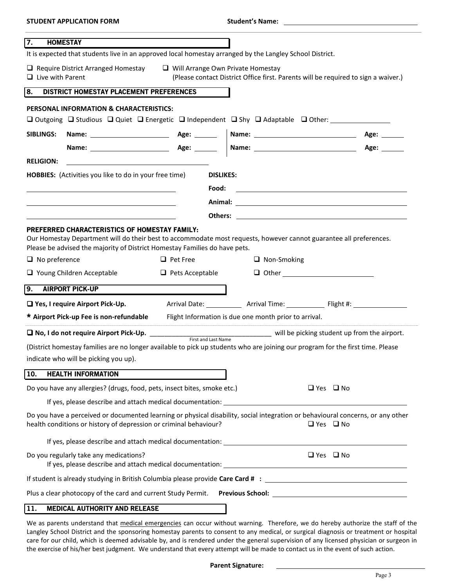| <b>HOMESTAY</b><br>7.<br>It is expected that students live in an approved local homestay arranged by the Langley School District.                                                                    |                                           |                                                       |                                                                                                                                                                                                                                      |
|------------------------------------------------------------------------------------------------------------------------------------------------------------------------------------------------------|-------------------------------------------|-------------------------------------------------------|--------------------------------------------------------------------------------------------------------------------------------------------------------------------------------------------------------------------------------------|
| $\Box$ Require District Arranged Homestay<br>$\Box$ Live with Parent                                                                                                                                 |                                           | $\Box$ Will Arrange Own Private Homestay              | (Please contact District Office first. Parents will be required to sign a waiver.)                                                                                                                                                   |
| 8.<br>DISTRICT HOMESTAY PLACEMENT PREFERENCES                                                                                                                                                        |                                           |                                                       |                                                                                                                                                                                                                                      |
| PERSONAL INFORMATION & CHARACTERISTICS:                                                                                                                                                              |                                           |                                                       |                                                                                                                                                                                                                                      |
| <b>□</b> Outgoing □ Studious □ Quiet □ Energetic □ Independent □ Shy □ Adaptable □ Other:                                                                                                            |                                           |                                                       |                                                                                                                                                                                                                                      |
| <b>SIBLINGS:</b>                                                                                                                                                                                     |                                           |                                                       |                                                                                                                                                                                                                                      |
|                                                                                                                                                                                                      |                                           |                                                       | Age:                                                                                                                                                                                                                                 |
| <b>RELIGION:</b>                                                                                                                                                                                     |                                           |                                                       |                                                                                                                                                                                                                                      |
| <b>HOBBIES:</b> (Activities you like to do in your free time)                                                                                                                                        |                                           | <b>DISLIKES:</b>                                      |                                                                                                                                                                                                                                      |
|                                                                                                                                                                                                      | Food:                                     |                                                       |                                                                                                                                                                                                                                      |
|                                                                                                                                                                                                      |                                           |                                                       |                                                                                                                                                                                                                                      |
|                                                                                                                                                                                                      |                                           |                                                       | Others: <u>with the contract of the contract of the contract of the contract of the contract of the contract of the contract of the contract of the contract of the contract of the contract of the contract of the contract of </u> |
| Please be advised the majority of District Homestay Families do have pets.<br>$\Box$ No preference<br>□ Young Children Acceptable                                                                    | $\Box$ Pet Free<br>$\Box$ Pets Acceptable | $\Box$ Non-Smoking                                    |                                                                                                                                                                                                                                      |
| 9.<br><b>AIRPORT PICK-UP</b>                                                                                                                                                                         |                                           |                                                       |                                                                                                                                                                                                                                      |
| □ Yes, I require Airport Pick-Up.                                                                                                                                                                    |                                           |                                                       | Arrival Date: ______________ Arrival Time: ______________ Flight #: ____________                                                                                                                                                     |
| * Airport Pick-up Fee is non-refundable                                                                                                                                                              |                                           | Flight Information is due one month prior to arrival. |                                                                                                                                                                                                                                      |
|                                                                                                                                                                                                      |                                           |                                                       | will be picking student up from the airport.                                                                                                                                                                                         |
| (District homestay families are no longer available to pick up students who are joining our program for the first time. Please                                                                       |                                           |                                                       |                                                                                                                                                                                                                                      |
| indicate who will be picking you up).                                                                                                                                                                |                                           |                                                       |                                                                                                                                                                                                                                      |
| 10.<br><b>HEALTH INFORMATION</b>                                                                                                                                                                     |                                           |                                                       |                                                                                                                                                                                                                                      |
| Do you have any allergies? (drugs, food, pets, insect bites, smoke etc.)                                                                                                                             |                                           |                                                       | $\Box$ Yes $\Box$ No                                                                                                                                                                                                                 |
|                                                                                                                                                                                                      |                                           |                                                       |                                                                                                                                                                                                                                      |
| Do you have a perceived or documented learning or physical disability, social integration or behavioural concerns, or any other<br>health conditions or history of depression or criminal behaviour? |                                           |                                                       | $\Box$ Yes $\Box$ No                                                                                                                                                                                                                 |
|                                                                                                                                                                                                      |                                           |                                                       |                                                                                                                                                                                                                                      |
| Do you regularly take any medications?                                                                                                                                                               |                                           |                                                       | $\Box$ Yes $\Box$ No                                                                                                                                                                                                                 |
|                                                                                                                                                                                                      |                                           |                                                       |                                                                                                                                                                                                                                      |
| Plus a clear photocopy of the card and current Study Permit.  Previous School: _______________________________                                                                                       |                                           |                                                       |                                                                                                                                                                                                                                      |
| 11.<br><b>MEDICAL AUTHORITY AND RELEASE</b>                                                                                                                                                          |                                           |                                                       |                                                                                                                                                                                                                                      |

**STUDENT APPLICATION FORM Student's Name: .**

#### We as parents understand that medical emergencies can occur without warning. Therefore, we do hereby authorize the staff of the Langley School District and the sponsoring homestay parents to consent to any medical, or surgical diagnosis or treatment or hospital care for our child, which is deemed advisable by, and is rendered under the general supervision of any licensed physician or surgeon in the exercise of his/her best judgment. We understand that every attempt will be made to contact us in the event of such action.